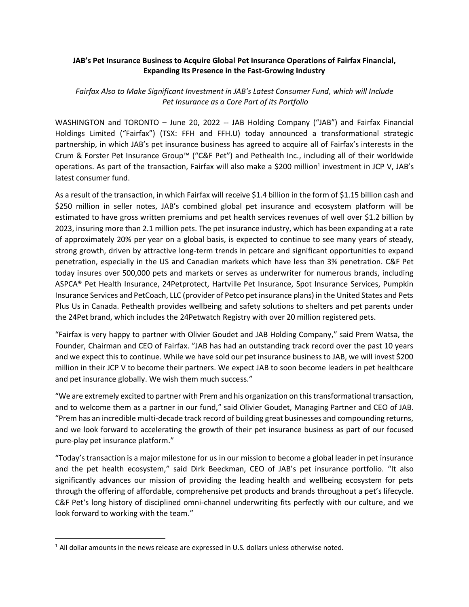## **JAB's Pet Insurance Business to Acquire Global Pet Insurance Operations of Fairfax Financial, Expanding Its Presence in the Fast-Growing Industry**

## *Fairfax Also to Make Significant Investment in JAB's Latest Consumer Fund, which will Include Pet Insurance as a Core Part of its Portfolio*

WASHINGTON and TORONTO – June 20, 2022 -- JAB Holding Company ("JAB") and Fairfax Financial Holdings Limited ("Fairfax") (TSX: FFH and FFH.U) today announced a transformational strategic partnership, in which JAB's pet insurance business has agreed to acquire all of Fairfax's interests in the Crum & Forster Pet Insurance Group™ ("C&F Pet") and Pethealth Inc., including all of their worldwide operations. As part of the transaction, Fairfax will also make a \$200 million<sup>1</sup> investment in JCP V, JAB's latest consumer fund.

As a result of the transaction, in which Fairfax will receive \$1.4 billion in the form of \$1.15 billion cash and \$250 million in seller notes, JAB's combined global pet insurance and ecosystem platform will be estimated to have gross written premiums and pet health services revenues of well over \$1.2 billion by 2023, insuring more than 2.1 million pets. The pet insurance industry, which has been expanding at a rate of approximately 20% per year on a global basis, is expected to continue to see many years of steady, strong growth, driven by attractive long-term trends in petcare and significant opportunities to expand penetration, especially in the US and Canadian markets which have less than 3% penetration. C&F Pet today insures over 500,000 pets and markets or serves as underwriter for numerous brands, including ASPCA® Pet Health Insurance, 24Petprotect, Hartville Pet Insurance, Spot Insurance Services, Pumpkin Insurance Services and PetCoach, LLC (provider of Petco pet insurance plans) in the United States and Pets Plus Us in Canada. Pethealth provides wellbeing and safety solutions to shelters and pet parents under the 24Pet brand, which includes the 24Petwatch Registry with over 20 million registered pets.

"Fairfax is very happy to partner with Olivier Goudet and JAB Holding Company," said Prem Watsa, the Founder, Chairman and CEO of Fairfax. "JAB has had an outstanding track record over the past 10 years and we expect this to continue. While we have sold our pet insurance business to JAB, we will invest \$200 million in their JCP V to become their partners. We expect JAB to soon become leaders in pet healthcare and pet insurance globally. We wish them much success."

"We are extremely excited to partner with Prem and his organization on this transformational transaction, and to welcome them as a partner in our fund," said Olivier Goudet, Managing Partner and CEO of JAB. "Prem has an incredible multi-decade track record of building great businesses and compounding returns, and we look forward to accelerating the growth of their pet insurance business as part of our focused pure-play pet insurance platform."

"Today's transaction is a major milestone for us in our mission to become a global leader in pet insurance and the pet health ecosystem," said Dirk Beeckman, CEO of JAB's pet insurance portfolio. "It also significantly advances our mission of providing the leading health and wellbeing ecosystem for pets through the offering of affordable, comprehensive pet products and brands throughout a pet's lifecycle. C&F Pet's long history of disciplined omni-channel underwriting fits perfectly with our culture, and we look forward to working with the team."

<sup>&</sup>lt;sup>1</sup> All dollar amounts in the news release are expressed in U.S. dollars unless otherwise noted.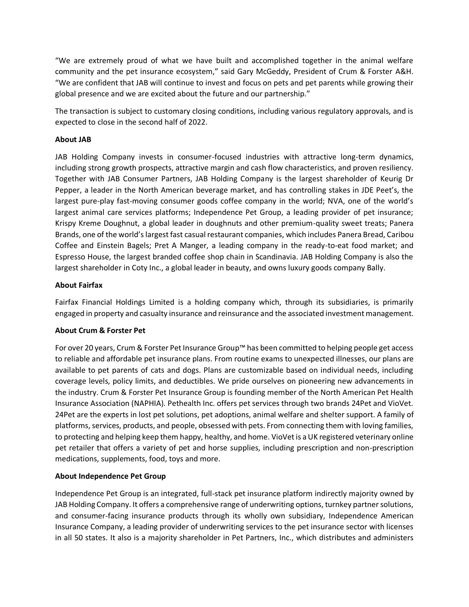"We are extremely proud of what we have built and accomplished together in the animal welfare community and the pet insurance ecosystem," said Gary McGeddy, President of Crum & Forster A&H. "We are confident that JAB will continue to invest and focus on pets and pet parents while growing their global presence and we are excited about the future and our partnership."

The transaction is subject to customary closing conditions, including various regulatory approvals, and is expected to close in the second half of 2022.

# **About JAB**

JAB Holding Company invests in consumer-focused industries with attractive long-term dynamics, including strong growth prospects, attractive margin and cash flow characteristics, and proven resiliency. Together with JAB Consumer Partners, JAB Holding Company is the largest shareholder of Keurig Dr Pepper, a leader in the North American beverage market, and has controlling stakes in JDE Peet's, the largest pure-play fast-moving consumer goods coffee company in the world; NVA, one of the world's largest animal care services platforms; Independence Pet Group, a leading provider of pet insurance; Krispy Kreme Doughnut, a global leader in doughnuts and other premium-quality sweet treats; Panera Brands, one of the world's largest fast casual restaurant companies, which includes Panera Bread, Caribou Coffee and Einstein Bagels; Pret A Manger, a leading company in the ready-to-eat food market; and Espresso House, the largest branded coffee shop chain in Scandinavia. JAB Holding Company is also the largest shareholder in Coty Inc., a global leader in beauty, and owns luxury goods company Bally.

## **About Fairfax**

Fairfax Financial Holdings Limited is a holding company which, through its subsidiaries, is primarily engaged in property and casualty insurance and reinsurance and the associated investment management.

### **About Crum & Forster Pet**

For over 20 years, Crum & Forster Pet Insurance Group™ has been committed to helping people get access to reliable and affordable pet insurance plans. From routine exams to unexpected illnesses, our plans are available to pet parents of cats and dogs. Plans are customizable based on individual needs, including coverage levels, policy limits, and deductibles. We pride ourselves on pioneering new advancements in the industry. Crum & Forster Pet Insurance Group is founding member of the North American Pet Health Insurance Association (NAPHIA). Pethealth Inc. offers pet services through two brands 24Pet and VioVet. 24Pet are the experts in lost pet solutions, pet adoptions, animal welfare and shelter support. A family of platforms, services, products, and people, obsessed with pets. From connecting them with loving families, to protecting and helping keep them happy, healthy, and home. VioVet is a UK registered veterinary online pet retailer that offers a variety of pet and horse supplies, including prescription and non-prescription medications, supplements, food, toys and more.

# **About Independence Pet Group**

Independence Pet Group is an integrated, full-stack pet insurance platform indirectly majority owned by JAB Holding Company. It offers a comprehensive range of underwriting options, turnkey partner solutions, and consumer-facing insurance products through its wholly own subsidiary, Independence American Insurance Company, a leading provider of underwriting services to the pet insurance sector with licenses in all 50 states. It also is a majority shareholder in Pet Partners, Inc., which distributes and administers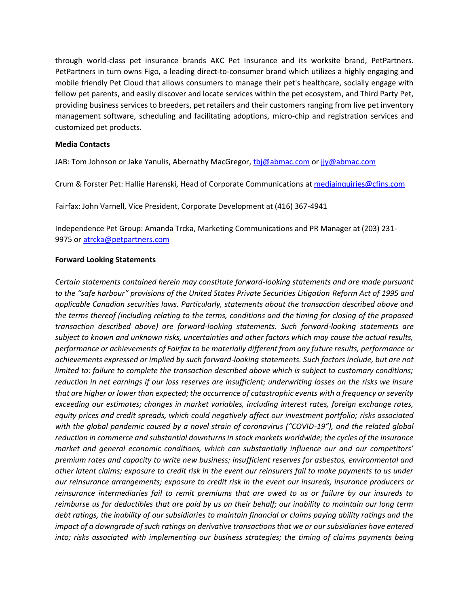through world-class pet insurance brands AKC Pet Insurance and its worksite brand, PetPartners. PetPartners in turn owns Figo, a leading direct-to-consumer brand which utilizes a highly engaging and mobile friendly Pet Cloud that allows consumers to manage their pet's healthcare, socially engage with fellow pet parents, and easily discover and locate services within the pet ecosystem, and Third Party Pet, providing business services to breeders, pet retailers and their customers ranging from live pet inventory management software, scheduling and facilitating adoptions, micro-chip and registration services and customized pet products.

### **Media Contacts**

JAB: Tom Johnson or Jake Yanulis, Abernathy MacGregor[, tbj@abmac.com](mailto:tbj@abmac.com) or [jjy@abmac.com](mailto:jjy@abmac.com)

Crum & Forster Pet: Hallie Harenski, Head of Corporate Communications at [mediainquiries@cfins.com](mailto:mediainquiries@cfins.com)

Fairfax: John Varnell, Vice President, Corporate Development at (416) 367-4941

Independence Pet Group: Amanda Trcka, Marketing Communications and PR Manager at (203) 231- 9975 or [atrcka@petpartners.com](mailto:atrcka@petpartners.com)

### **Forward Looking Statements**

*Certain statements contained herein may constitute forward-looking statements and are made pursuant to the "safe harbour" provisions of the United States Private Securities Litigation Reform Act of 1995 and applicable Canadian securities laws. Particularly, statements about the transaction described above and the terms thereof (including relating to the terms, conditions and the timing for closing of the proposed transaction described above) are forward-looking statements. Such forward-looking statements are subject to known and unknown risks, uncertainties and other factors which may cause the actual results, performance or achievements of Fairfax to be materially different from any future results, performance or achievements expressed or implied by such forward-looking statements. Such factors include, but are not limited to: failure to complete the transaction described above which is subject to customary conditions; reduction in net earnings if our loss reserves are insufficient; underwriting losses on the risks we insure that are higher or lower than expected; the occurrence of catastrophic events with a frequency or severity exceeding our estimates; changes in market variables, including interest rates, foreign exchange rates, equity prices and credit spreads, which could negatively affect our investment portfolio; risks associated with the global pandemic caused by a novel strain of coronavirus ("COVID-19"), and the related global reduction in commerce and substantial downturns in stock markets worldwide; the cycles of the insurance market and general economic conditions, which can substantially influence our and our competitors' premium rates and capacity to write new business; insufficient reserves for asbestos, environmental and other latent claims; exposure to credit risk in the event our reinsurers fail to make payments to us under our reinsurance arrangements; exposure to credit risk in the event our insureds, insurance producers or reinsurance intermediaries fail to remit premiums that are owed to us or failure by our insureds to reimburse us for deductibles that are paid by us on their behalf; our inability to maintain our long term debt ratings, the inability of our subsidiaries to maintain financial or claims paying ability ratings and the impact of a downgrade of such ratings on derivative transactions that we or our subsidiaries have entered into; risks associated with implementing our business strategies; the timing of claims payments being*